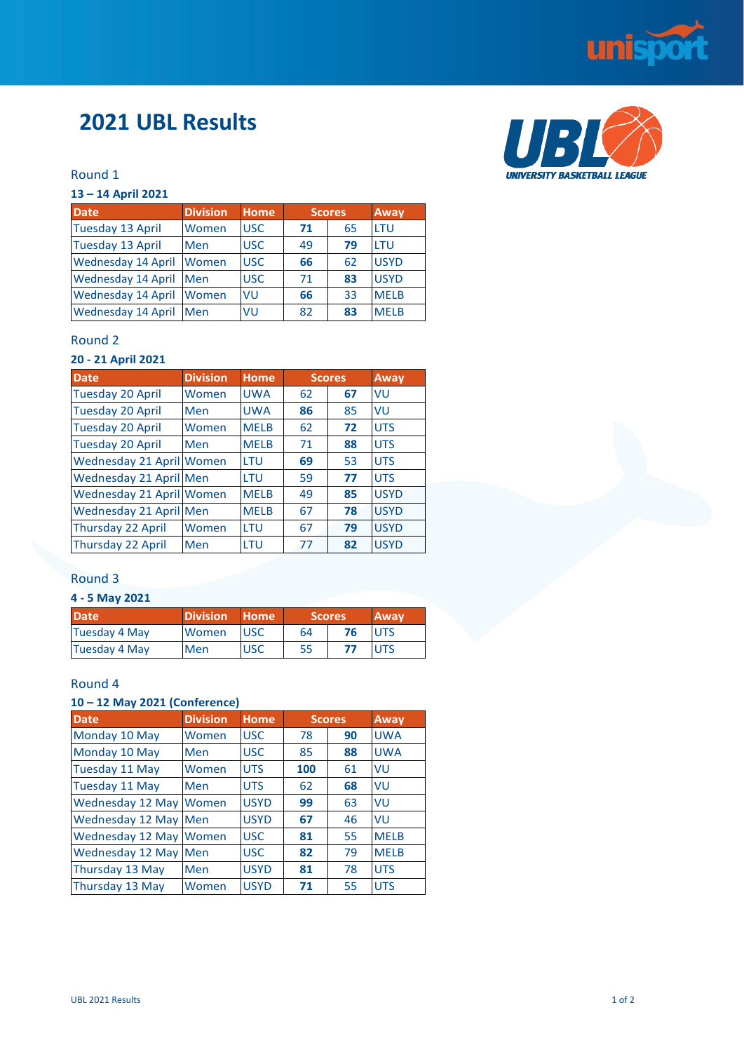

UBI

UNIVERSITY BASKETBALL LEAGUE

# **2021 UBL Results**

#### Round 1

#### **13 – 14 April 2021**

| <b>Date</b>               | <b>Division</b> | <b>Home</b> | <b>Scores</b> |    | Away        |
|---------------------------|-----------------|-------------|---------------|----|-------------|
| <b>Tuesday 13 April</b>   | Women           | <b>USC</b>  | 71            | 65 | LTU         |
| <b>Tuesday 13 April</b>   | Men             | <b>USC</b>  | 49            | 79 | LTU         |
| <b>Wednesday 14 April</b> | Women           | <b>USC</b>  | 66            | 62 | <b>USYD</b> |
| <b>Wednesday 14 April</b> | Men             | <b>USC</b>  | 71            | 83 | <b>USYD</b> |
| <b>Wednesday 14 April</b> | Women           | VU          | 66            | 33 | <b>MELB</b> |
| <b>Wednesday 14 April</b> | Men             | VU          | 82            | 83 | <b>MELB</b> |

#### Round 2

## **20 - 21 April 2021**

| <b>Date</b>              | <b>Division</b> | Home        | <b>Scores</b> |    | Away        |
|--------------------------|-----------------|-------------|---------------|----|-------------|
| <b>Tuesday 20 April</b>  | Women           | <b>UWA</b>  | 62            | 67 | <b>VU</b>   |
| <b>Tuesday 20 April</b>  | Men             | <b>UWA</b>  | 86            | 85 | VU          |
| <b>Tuesday 20 April</b>  | Women           | <b>MELB</b> | 62            | 72 | <b>UTS</b>  |
| <b>Tuesday 20 April</b>  | Men             | <b>MELB</b> | 71            | 88 | <b>UTS</b>  |
| Wednesday 21 April Women |                 | LTU         | 69            | 53 | <b>UTS</b>  |
| Wednesday 21 April Men   |                 | LTU         | 59            | 77 | <b>UTS</b>  |
| Wednesday 21 April Women |                 | <b>MELB</b> | 49            | 85 | <b>USYD</b> |
| Wednesday 21 April Men   |                 | <b>MELB</b> | 67            | 78 | <b>USYD</b> |
| Thursday 22 April        | Women           | LTU         | 67            | 79 | <b>USYD</b> |
| Thursday 22 April        | Men             | <b>LTU</b>  | 77            | 82 | <b>USYD</b> |

#### Round 3

#### **4 - 5 May 2021**

| <b>Date</b>   | <b>Division</b> | Home       | <b>Scores</b> |    | <b>Away</b> |
|---------------|-----------------|------------|---------------|----|-------------|
| Tuesday 4 May | Women           | <b>USC</b> | 64            | 76 | <b>UTS</b>  |
| Tuesday 4 May | <b>Men</b>      | <b>USC</b> | 55            |    | <b>UTS</b>  |

#### Round 4

#### **10 – 12 May 2021 (Conference)**

| <b>Date</b>            | <b>Division</b> | Home        | <b>Scores</b> |    | Away        |
|------------------------|-----------------|-------------|---------------|----|-------------|
| Monday 10 May          | Women           | <b>USC</b>  | 78            | 90 | <b>UWA</b>  |
| Monday 10 May          | Men             | <b>USC</b>  | 85            | 88 | <b>UWA</b>  |
| <b>Tuesday 11 May</b>  | Women           | <b>UTS</b>  | 100           | 61 | VU          |
| <b>Tuesday 11 May</b>  | Men             | <b>UTS</b>  | 62            | 68 | VU          |
| Wednesday 12 May Women |                 | <b>USYD</b> | 99            | 63 | VU          |
| Wednesday 12 May Men   |                 | <b>USYD</b> | 67            | 46 | VU          |
| Wednesday 12 May Women |                 | <b>USC</b>  | 81            | 55 | <b>MELB</b> |
| Wednesday 12 May Men   |                 | <b>USC</b>  | 82            | 79 | <b>MELB</b> |
| Thursday 13 May        | Men             | <b>USYD</b> | 81            | 78 | <b>UTS</b>  |
| Thursday 13 May        | Women           | <b>USYD</b> | 71            | 55 | <b>UTS</b>  |